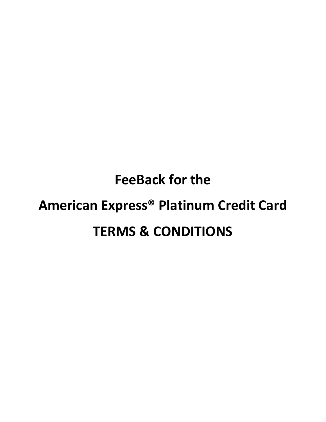# **FeeBack for the American Express® Platinum Credit Card TERMS & CONDITIONS**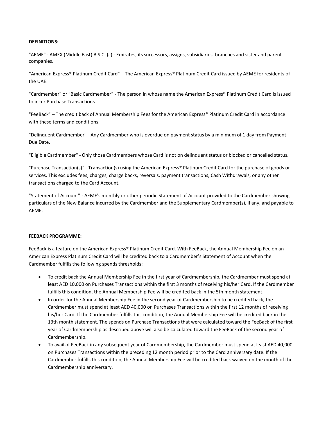### **DEFINITIONS:**

"AEME" - AMEX (Middle East) B.S.C. (c) - Emirates, its successors, assigns, subsidiaries, branches and sister and parent companies.

"American Express® Platinum Credit Card" – The American Express® Platinum Credit Card issued by AEME for residents of the UAE.

"Cardmember" or "Basic Cardmember" - The person in whose name the American Express® Platinum Credit Card is issued to incur Purchase Transactions.

"FeeBack" – The credit back of Annual Membership Fees for the American Express® Platinum Credit Card in accordance with these terms and conditions.

"Delinquent Cardmember" - Any Cardmember who is overdue on payment status by a minimum of 1 day from Payment Due Date.

"Eligible Cardmember" - Only those Cardmembers whose Card is not on delinquent status or blocked or cancelled status.

"Purchase Transaction(s)" - Transaction(s) using the American Express® Platinum Credit Card for the purchase of goods or services. This excludes fees, charges, charge backs, reversals, payment transactions, Cash Withdrawals, or any other transactions charged to the Card Account.

"Statement of Account" - AEME's monthly or other periodic Statement of Account provided to the Cardmember showing particulars of the New Balance incurred by the Cardmember and the Supplementary Cardmember(s), if any, and payable to AEME.

#### **FEEBACK PROGRAMME:**

FeeBack is a feature on the American Express® Platinum Credit Card. With FeeBack, the Annual Membership Fee on an American Express Platinum Credit Card will be credited back to a Cardmember's Statement of Account when the Cardmember fulfills the following spends thresholds:

- To credit back the Annual Membership Fee in the first year of Cardmembership, the Cardmember must spend at least AED 10,000 on Purchases Transactions within the first 3 months of receiving his/her Card. If the Cardmember fulfills this condition, the Annual Membership Fee will be credited back in the 5th month statement.
- In order for the Annual Membership Fee in the second year of Cardmembership to be credited back, the Cardmember must spend at least AED 40,000 on Purchases Transactions within the first 12 months of receiving his/her Card. If the Cardmember fulfills this condition, the Annual Membership Fee will be credited back in the 13th month statement. The spends on Purchase Transactions that were calculated toward the FeeBack of the first year of Cardmembership as described above will also be calculated toward the FeeBack of the second year of Cardmembership.
- To avail of FeeBack in any subsequent year of Cardmembership, the Cardmember must spend at least AED 40,000 on Purchases Transactions within the preceding 12 month period prior to the Card anniversary date. If the Cardmember fulfills this condition, the Annual Membership Fee will be credited back waived on the month of the Cardmembership anniversary.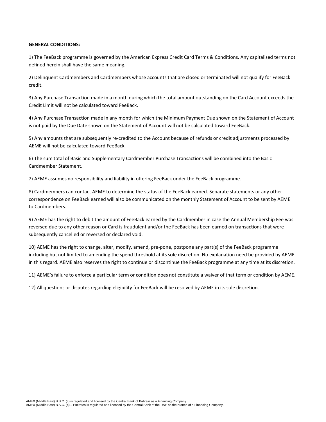## **GENERAL CONDITIONS:**

1) The FeeBack programme is governed by the American Express Credit Card Terms & Conditions. Any capitalised terms not defined herein shall have the same meaning.

2) Delinquent Cardmembers and Cardmembers whose accounts that are closed or terminated will not qualify for FeeBack credit.

3) Any Purchase Transaction made in a month during which the total amount outstanding on the Card Account exceeds the Credit Limit will not be calculated toward FeeBack.

4) Any Purchase Transaction made in any month for which the Minimum Payment Due shown on the Statement of Account is not paid by the Due Date shown on the Statement of Account will not be calculated toward FeeBack.

5) Any amounts that are subsequently re-credited to the Account because of refunds or credit adjustments processed by AEME will not be calculated toward FeeBack.

6) The sum total of Basic and Supplementary Cardmember Purchase Transactions will be combined into the Basic Cardmember Statement.

7) AEME assumes no responsibility and liability in offering FeeBack under the FeeBack programme.

8) Cardmembers can contact AEME to determine the status of the FeeBack earned. Separate statements or any other correspondence on FeeBack earned will also be communicated on the monthly Statement of Account to be sent by AEME to Cardmembers.

9) AEME has the right to debit the amount of FeeBack earned by the Cardmember in case the Annual Membership Fee was reversed due to any other reason or Card is fraudulent and/or the FeeBack has been earned on transactions that were subsequently cancelled or reversed or declared void.

10) AEME has the right to change, alter, modify, amend, pre-pone, postpone any part(s) of the FeeBack programme including but not limited to amending the spend threshold at its sole discretion. No explanation need be provided by AEME in this regard. AEME also reserves the right to continue or discontinue the FeeBack programme at any time at its discretion.

11) AEME's failure to enforce a particular term or condition does not constitute a waiver of that term or condition by AEME.

12) All questions or disputes regarding eligibility for FeeBack will be resolved by AEME in its sole discretion.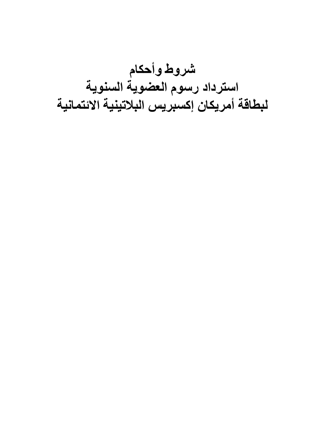**شروط وأحكام استرداد رسوم العضوية السنوية لبطاقة أمريكان إكسبريس البالتينية االئتمانية**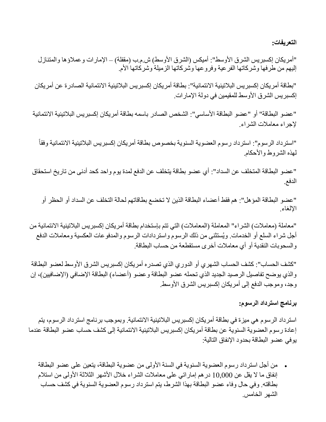**التعريفات:**

"أمريكان إكسبريس الشرق الأوسط": أميكس (الشرق الأوسط) ش.م.ب (مقفلة) – الإمارات وعملاؤها والمتنازل إليهم من طرفها وشركاتها الفرعية وفروعها وشركاتها الزميلة وشركاتها الأم.

"بطاقة أمريكان إكسبريس البالتينية االئتمانية": بطاقة أمريكان إكسبريس البالتينية االئتمانية الصادرة عن أمريكان إكسبريس الشرق الأوسط للمقيمين في دولة الإمارات.

"عضو البطاقة" أو "عضو البطاقة األساسي": الشخص الصادر باسمه بطاقة أمريكان إكسبريس البالتينية االئتمانية إلجراء معامالت الشراء.

"استرداد الرسوم": استرداد رسوم العضوية السنوية بخصوص بطاقة أمريكان إكسبريس البالتينية االئتمانية وفقاً لهذه الشروط واألحكام.

"عضو البطاقة المتخلف عن السداد": أي عضو بطاقة يتخلف عن الدفع لمدة يوم واحد كحد أدنى من تاريخ استحقاق الدفع.

"عضو البطاقة المؤهل": هم فقط أعضاء البطاقة الذين ال تخضع بطاقاتهم لحالة التخلف عن السداد أو الحظر أو اإللغاء.

"معاملة (معاملات) الشراء" المعاملة (المعاملات) التي تتم بإستخدام بطاقة أمريكان إكسبريس البلاتينية الائتمانية من أجل شراء السلع أو الخدمات. ويُستثنى من ذلك الرسوم واستردادات الرسوم والمدفوعات العكسية ومعامالت الدفع والسحوبات النقدية أو أي معامالت أخرى مستقطعة من حساب البطاقة.

"كشف الحساب": كشف الحساب الشهري أو الدوري الذي تصدره أمريكان إكسبريس الشرق األوسط لعضو البطاقة والذي يوضح تفاصيل الرصيد الجديد الذي تحمله عضو البطاقة وعضو (أعضاء) البطاقة الإضافي (الإضافيين)، إن وجد، وموجب الدفع إلى أمريكان إكسبريس الشرق األوسط.

# **برنامج استرداد الرسوم:**

استرداد الرسوم هي ميزة في بطاقة أمريكان إكسبريس البالتينية االئتمانية. وبموجب برنامج استرداد الرسوم، يتم إعادة رسوم العضوية السنوية عن بطاقة أمريكان إكسبريس البالتينية االئتمانية إلى كشف حساب عضو البطاقة عندما يوفي عضو البطاقة بحدود اإلنفاق التالية:

من أجل استر داد رسوم العضوية السنوية في السنة الأولى من عضوية البطاقة، يتعين على عضو البطاقة إنفاق ما لا يقل عن 10,000 در هم إماراتي على معاملات الشراء خلال الأشهر الثلاثة الأولى من استلام بطاقته. وفي حال وفاء عضو البطاقة بهذا الشرط، يتم استرداد رسوم العضوية السنوية في كشف حساب الشهر الخامس.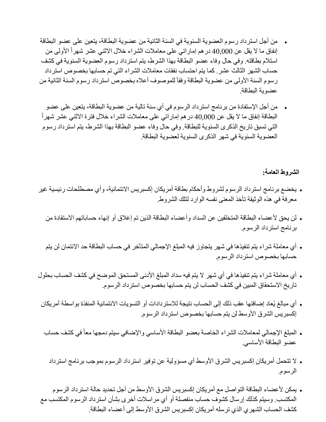- من أجل استرداد رسوم العضوية السنوية في السنة الثانية من عضوية البطاقة، يتعين على عضو البطاقة إنفاق ما لا يقل عن 40,000 درهم إماراتي على معاملات الشراء خلال الاثني عشر شهراً الأولى من استالم بطاقته. وفي حال وفاء عضو البطاقة بهذا الشرط، يتم استرداد رسوم العضوية السنوية في كشف حساب الشهر الثالث عشر. كما يتم احتساب نفقات معامالت الشراء التي تم حسابها بخصوص استرداد رسوم السنة الأولى من عضوية البطاقة وفقأ للموصوف أعلاه بخصوص استرداد رسوم السنة الثانية من عضوية البطاقة.
- من أجل اإلستفادة من برنامج استرداد الرسوم في أي سنة تالية من عضوية البطاقة، يتعين على عضو البطاقة إنفاق ما لا يقل عن 40,000 در هم إمار اتي على معاملات الشراء خلال فترة الاثني عشر شهراً التي تسبق تاريخ الذكرى السنوية للبطاقة. وفي حال وفاء عضو البطاقة بهذا الشرط، يتم استرداد رسوم العضوية السنوية في شهر الذكرى السنوية لعضوية البطاقة.

**الشروط العامة:**

- يخضع برنامج استرداد الرسوم لشروط وأحكام بطاقة أمريكان إكسبريس االئتمانية، وأي مصطلحات رئيسية غير معرفة في هذه الوثيقة تأخذ المعنى نفسه الوارد لتلك الشروط.
	- . لن يحق لأعضاء البطاقة المتخلفين عن السداد وأعضاء البطاقة الذين تم إغلاق أو إنهاء حساباتهم الاستفادة من برنامج استرداد الرسوم.
	- أي معاملة شراء يتم تنفيذها في شهر يتجاوز فيه المبلغ اإلجمالي المتأخر في حساب البطاقة حد االئتمان لن يتم حسابها بخصوص استرداد الرسوم.
- أي معاملة شراء يتم تنفيذها في أي شهر ال يتم فيه سداد المبلغ األدنى المستحق الموضح في كشف الحساب بحلول تاريخ االستحقاق المبين في كشف الحساب لن يتم حسابها بخصوص استرداد الرسوم.
- أي مبالغ يُعاد إضافتها عقب ذلك إلى الحساب نتيجة لالستردادات أو التسويات االئتمانية المنفذة بواسطة أمريكان إكسبريس الشرق الأوسط لن يتم حسابها بخصوص استرداد الرسوم.
	- ه المبلغ الإجمالي لمعاملات الشراء الخاصة بعضو البطاقة الأساسي والإضافي سيتم دمجها معاً في كشف حساب عضو البطاقة الأساسي.
		- لا تتحمل أمريكان إكسبريس الشرق الأوسط أي مسؤولية عن توفير استرداد الرسوم بموجب برنامج استرداد الرسوم.
- يمكن ألعضاء البطاقة التواصل مع أمريكان إكسبريس الشرق األوسط من أجل تحديد حالة استرداد الرسوم المكتسب. وسيتم كذلك إرسال كشوف حساب منفصلة أو أي مراسالت أخرى بشأن استرداد الرسوم المكتسب مع كشف الحساب الشهري الذي ترسله أمريكان إكسبريس الشرق الأوسط إلى أعضاء البطاقة.